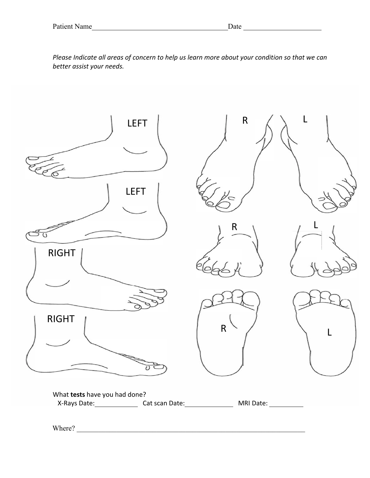*Please Indicate all areas of concern to help us learn more about your condition so that we can* better assist your needs.

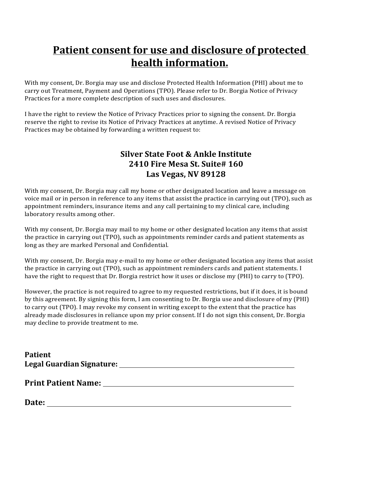# **Patient consent for use and disclosure of protected health information.**

With my consent, Dr. Borgia may use and disclose Protected Health Information (PHI) about me to carry out Treatment, Payment and Operations (TPO). Please refer to Dr. Borgia Notice of Privacy Practices for a more complete description of such uses and disclosures.

I have the right to review the Notice of Privacy Practices prior to signing the consent. Dr. Borgia reserve the right to revise its Notice of Privacy Practices at anytime. A revised Notice of Privacy Practices may be obtained by forwarding a written request to:

# **Silver State Foot & Ankle Institute 2410 Fire Mesa St. Suite# 160 Las Vegas, NV 89128**

With my consent, Dr. Borgia may call my home or other designated location and leave a message on voice mail or in person in reference to any items that assist the practice in carrying out (TPO), such as appointment reminders, insurance items and any call pertaining to my clinical care, including laboratory results among other.

With my consent, Dr. Borgia may mail to my home or other designated location any items that assist the practice in carrying out (TPO), such as appointments reminder cards and patient statements as long as they are marked Personal and Confidential.

With my consent, Dr. Borgia may e-mail to my home or other designated location any items that assist the practice in carrying out (TPO), such as appointment reminders cards and patient statements. I have the right to request that Dr. Borgia restrict how it uses or disclose my (PHI) to carry to (TPO).

However, the practice is not required to agree to my requested restrictions, but if it does, it is bound by this agreement. By signing this form, I am consenting to Dr. Borgia use and disclosure of my (PHI) to carry out (TPO). I may revoke my consent in writing except to the extent that the practice has already made disclosures in reliance upon my prior consent. If I do not sign this consent, Dr. Borgia may decline to provide treatment to me.

| Patient<br><b>Legal Guardian Signature:</b> |  |
|---------------------------------------------|--|
| <b>Print Patient Name:</b>                  |  |
| Date:                                       |  |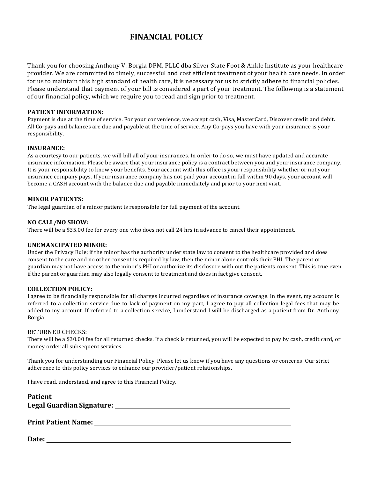#### **ASSIGNMENT OF BENEFITS / ERISA AUTHORIZED REPRESENTATIVE FORM**

Anthony V Borgia DPM

#### Financial Responsibility

I have requested professional services from Anthony V Borgia DPM ("Provider") on behalf of myself and/or my dependents, and understand that by making this request, I am responsible for all charges incurred during the course of said services. I understand that all fees for said services are due and payable on the date services are rendered and agree to pay all such charges incurred in full immediately upon presentation of the appropriate statement unless other arrangements have been made in advance.

#### Assignment of Insurance Benefits

I hereby assign all applicable health insurance benefits to which I and/or my dependents are entitled to Provider. I certify that the health insurance information that I provided to Provider is accurate as of the date set forth below and that I am responsible for keeping it updated.

I hereby authorize Provider to submit claims, on my and/or my dependent's behalf, to the benefit plan (or its administrator) listed on the current insurance card I provided to Provider, in good faith. I also hereby instruct my benefit plan (or its administrator) to pay Provider directly for services rendered to me or my dependents. To the extent that my current policy prohibits direct payment to Provider, I hereby instruct and direct my benefit plan (or its administrator) to provide documentation stating such non-assignment to myself and Provider upon request. Upon proof of such non-assignment, I instruct my benefit plan (or its administrator) to make out the check to me and mail it directly to Provider.

I am fully aware that having health insurance does not absolve me of my responsibility to ensure that my bills for professional services from Provider are paid in full. I also understand that I am responsible for all amounts not covered by my health insurance, including co-payments, co-insurance, and deductibles.

#### Authorization to Release Information

I hereby authorize Provider to: (1) release any information necessary to my health benefit plan (or its administrator) regarding my illness and treatments; (2) process insurance claims generated in the course of examination or treatment; and(3) allow a photocopy of my signature to be used to process insurance claims I understand that any information disclosed pursuant to this authorization may be disclosed by the recipient pursuant to my providers Notice of Privacy disclosure and may not be protected by the federal privacy regulation. I understand that I have a right to revoke this authorization at any time by providing written notice to my Provider and my health benefit plan (or its administrator) via electronic mail, U.S. mail or facsimile. I further understand that there are no exceptions to my rights to revoke this authorization. Therefore, this authorization will remain in force and effect for claims with date of service within **one year** of the signature date, or until revoked by me in writing, or until my healthcare claims are adjudicated to my provider's satisfaction**.**

#### ERISA Authorization and Limited Power of Attorney

I hereby designate, authorize, and convey to CHRIS DUFFY and/or ALLIANCE MED, LLC, Provider's Third-Party Billing Service for the claims assigned hereunder, to the full extent permissible under law and under any applicable insurance policy and/or employee health care benefit plan: (1) the right and ability to sign any and all documents that require my signature, sent to or received from my health benefit plan (or its administrator) on my behalf, in the event that my health benefit plan (or its administrator) requires additional information; (2) the right and ability to act as my Authorized Representative in connection with any claim, right, or cause in action that I may have under such insurance policy and/or benefit plan and assigned hereunder to Provider; and (3) the right and ability to act as my Authorized Representative to pursue any such claim, right, or cause of action in connection with said insurance policy and/or benefit plan including but not limited to, the right and ability to act as my Authorized Representative with respect to a benefit plan governed by the provisions of ERISA as provided in 29 *C.F.R.* §2560.5031(b)(4) with respect to any healthcare expense incurred as a result of the services I received from Provider and, to the extent permissible under the law, to claim on my behalf, such benefits, claims, or reimbursement, and any other applicable remedy, including fines;

A photocopy of this Assignment/Authorization shall be as effective and valid as the original.

| Patient signature | Date |
|-------------------|------|
|                   |      |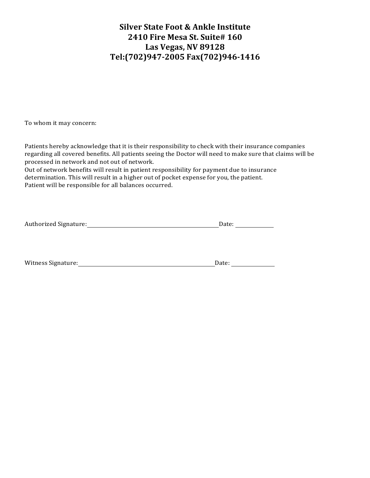# **FINANCIAL POLICY**

Thank you for choosing Anthony V. Borgia DPM, PLLC dba Silver State Foot & Ankle Institute as your healthcare provider. We are committed to timely, successful and cost efficient treatment of your health care needs. In order for us to maintain this high standard of health care, it is necessary for us to strictly adhere to financial policies. Please understand that payment of your bill is considered a part of your treatment. The following is a statement of our financial policy, which we require you to read and sign prior to treatment.

#### **PATIENT INFORMATION:**

Payment is due at the time of service. For your convenience, we accept cash, Visa, MasterCard, Discover credit and debit. All Co-pays and balances are due and payable at the time of service. Any Co-pays you have with your insurance is your responsibility. 

#### **INSURANCE:**

As a courtesy to our patients, we will bill all of your insurances. In order to do so, we must have updated and accurate insurance information. Please be aware that your insurance policy is a contract between you and your insurance company. It is your responsibility to know your benefits. Your account with this office is your responsibility whether or not your insurance company pays. If your insurance company has not paid your account in full within 90 days, your account will become a CASH account with the balance due and payable immediately and prior to your next visit.

#### **MINOR PATIENTS:**

The legal guardian of a minor patient is responsible for full payment of the account.

#### **NO CALL/NO SHOW:**

There will be a \$35.00 fee for every one who does not call 24 hrs in advance to cancel their appointment.

#### **UNEMANCIPATED MINOR:**

Under the Privacy Rule; if the minor has the authority under state law to consent to the healthcare provided and does consent to the care and no other consent is required by law, then the minor alone controls their PHI. The parent or guardian may not have access to the minor's PHI or authorize its disclosure with out the patients consent. This is true even if the parent or guardian may also legally consent to treatment and does in fact give consent. 

#### **COLLECTION POLICY:**

I agree to be financially responsible for all charges incurred regardless of insurance coverage. In the event, my account is referred to a collection service due to lack of payment on my part, I agree to pay all collection legal fees that may be added to my account. If referred to a collection service, I understand I will be discharged as a patient from Dr. Anthony Borgia. 

#### RETURNED CHECKS:

There will be a \$30.00 fee for all returned checks. If a check is returned, you will be expected to pay by cash, credit card, or money order all subsequent services.

Thank you for understanding our Financial Policy. Please let us know if you have any questions or concerns. Our strict adherence to this policy services to enhance our provider/patient relationships.

I have read, understand, and agree to this Financial Policy.

| <b>Patient</b>            |  |
|---------------------------|--|
| Legal Guardian Signature: |  |

### **Print Patient Name:**

**Date:**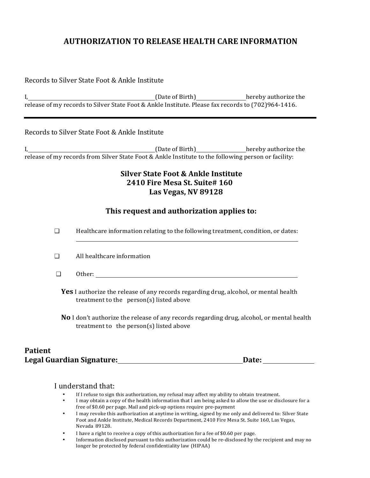**Silver State Foot & Ankle Institute 2410 Fire Mesa St. Suite# 160 Las Vegas, NV 89128 Tel:(702)947-2005 Fax(702)946-1416** 

To whom it may concern:

Patients hereby acknowledge that it is their responsibility to check with their insurance companies regarding all covered benefits. All patients seeing the Doctor will need to make sure that claims will be processed in network and not out of network.

Out of network benefits will result in patient responsibility for payment due to insurance determination. This will result in a higher out of pocket expense for you, the patient. Patient will be responsible for all balances occurred.

Authorized Signature: Date: Date: Date: